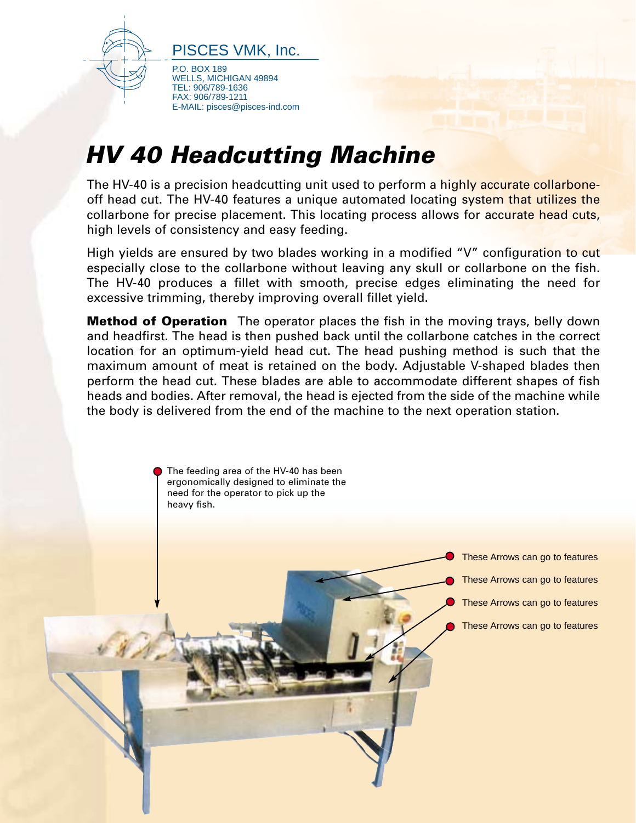

PISCES VMK, Inc.

P.O. BOX 189 WELLS, MICHIGAN 49894 TEL: 906/789-1636 FAX: 906/789-1211 E-MAIL: pisces@pisces-ind.com

## **HV 40 Headcutting Machine**

The HV-40 is a precision headcutting unit used to perform a highly accurate collarboneoff head cut. The HV-40 features a unique automated locating system that utilizes the collarbone for precise placement. This locating process allows for accurate head cuts, high levels of consistency and easy feeding.

High yields are ensured by two blades working in a modified "V" configuration to cut especially close to the collarbone without leaving any skull or collarbone on the fish. The HV-40 produces a fillet with smooth, precise edges eliminating the need for excessive trimming, thereby improving overall fillet yield.

**Method of Operation** The operator places the fish in the moving trays, belly down and headfirst. The head is then pushed back until the collarbone catches in the correct location for an optimum-yield head cut. The head pushing method is such that the maximum amount of meat is retained on the body. Adjustable V-shaped blades then perform the head cut. These blades are able to accommodate different shapes of fish heads and bodies. After removal, the head is ejected from the side of the machine while the body is delivered from the end of the machine to the next operation station.